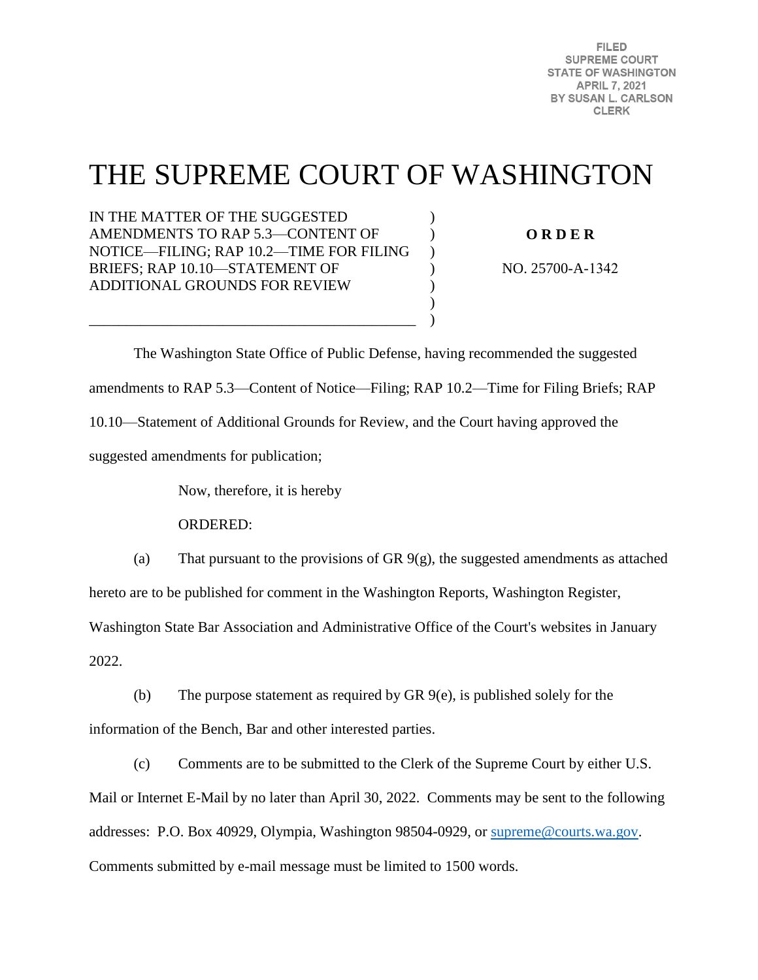FILED. **SUPREME COURT STATE OF WASHINGTON APRIL 7, 2021** BY SUSAN L. CARLSON **CLERK** 

# THE SUPREME COURT OF WASHINGTON

) ) )  $\lambda$ ) ) )

IN THE MATTER OF THE SUGGESTED AMENDMENTS TO RAP 5.3—CONTENT OF NOTICE—FILING; RAP 10.2—TIME FOR FILING BRIEFS; RAP 10.10—STATEMENT OF ADDITIONAL GROUNDS FOR REVIEW

\_\_\_\_\_\_\_\_\_\_\_\_\_\_\_\_\_\_\_\_\_\_\_\_\_\_\_\_\_\_\_\_\_\_\_\_\_\_\_\_\_\_\_\_

**O R D E R** 

NO. 25700-A-1342

 The Washington State Office of Public Defense, having recommended the suggested amendments to RAP 5.3—Content of Notice—Filing; RAP 10.2—Time for Filing Briefs; RAP 10.10—Statement of Additional Grounds for Review, and the Court having approved the suggested amendments for publication;

Now, therefore, it is hereby

ORDERED:

(a) That pursuant to the provisions of GR  $9(g)$ , the suggested amendments as attached hereto are to be published for comment in the Washington Reports, Washington Register,

Washington State Bar Association and Administrative Office of the Court's websites in January 2022.

(b) The purpose statement as required by GR 9(e), is published solely for the information of the Bench, Bar and other interested parties.

(c) Comments are to be submitted to the Clerk of the Supreme Court by either U.S. Mail or Internet E-Mail by no later than April 30, 2022. Comments may be sent to the following addresses: P.O. Box 40929, Olympia, Washington 98504-0929, or [supreme@courts.wa.gov.](mailto:supreme@courts.wa.gov) Comments submitted by e-mail message must be limited to 1500 words.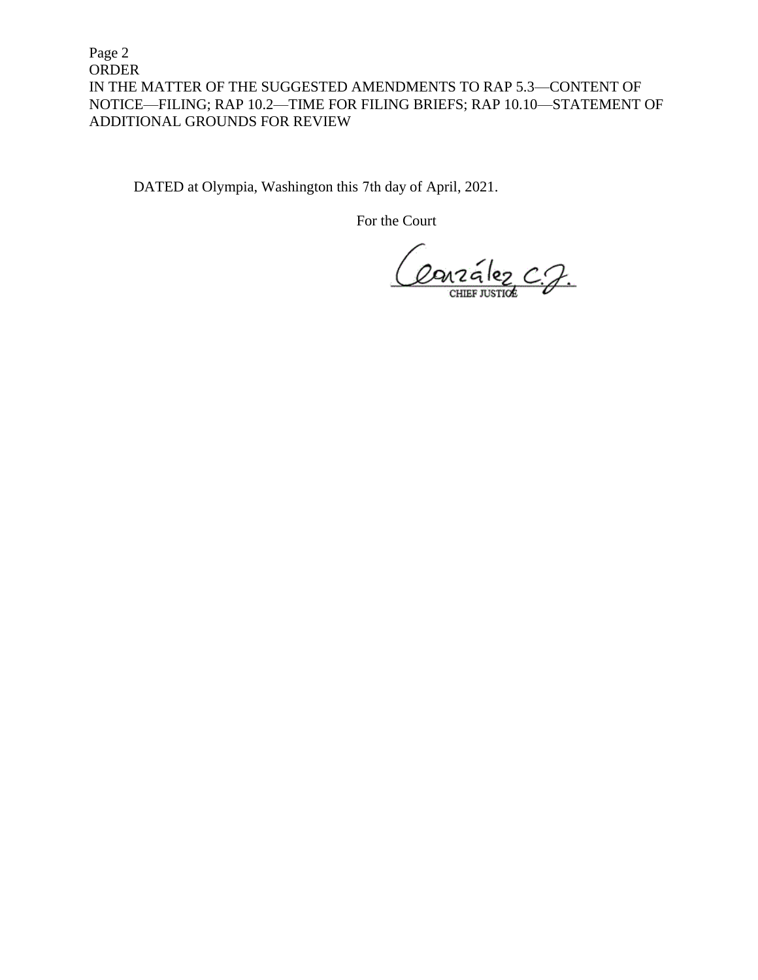Page 2 ORDER IN THE MATTER OF THE SUGGESTED AMENDMENTS TO RAP 5.3—CONTENT OF NOTICE—FILING; RAP 10.2—TIME FOR FILING BRIEFS; RAP 10.10—STATEMENT OF ADDITIONAL GROUNDS FOR REVIEW

DATED at Olympia, Washington this 7th day of April, 2021.

For the Court

Ourralez C.J.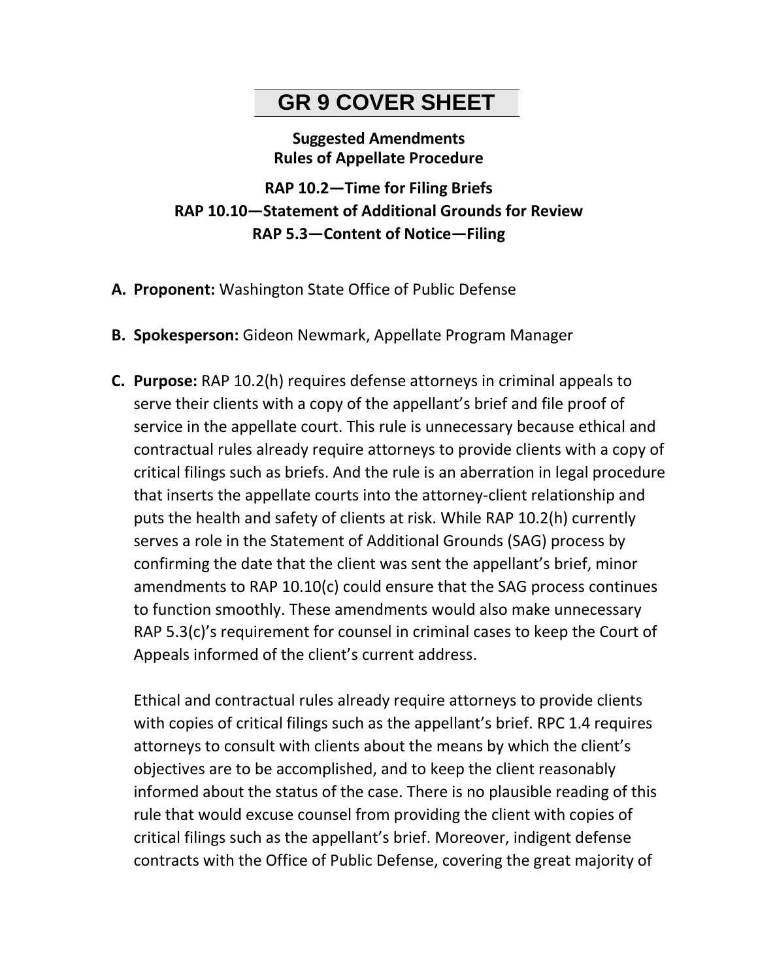## **GR 9 COVER SHEET**

#### **Suggested Amendments Rules of Appellate Procedure**

**RAP 10.2—Time for Filing Briefs RAP 10.10—Statement of Additional Grounds for Review RAP 5.3—Content of Notice—Filing** 

- **A. Proponent:** Washington State Office of Public Defense
- **B. Spokesperson:** Gideon Newmark, Appellate Program Manager
- **C. Purpose:** RAP 10.2(h) requires defense attorneys in criminal appeals to serve their clients with a copy of the appellant's brief and file proof of service in the appellate court. This rule is unnecessary because ethical and contractual rules already require attorneys to provide clients with a copy of critical filings such as briefs. And the rule is an aberration in legal procedure that inserts the appellate courts into the attorney-client relationship and puts the health and safety of clients at risk. While RAP 10.2(h) currently serves a role in the Statement of Additional Grounds (SAG) process by confirming the date that the client was sent the appellant's brief, minor amendments to RAP 10.10(c) could ensure that the SAG process continues to function smoothly. These amendments would also make unnecessary RAP 5.3(c)'s requirement for counsel in criminal cases to keep the Court of Appeals informed of the client's current address.

Ethical and contractual rules already require attorneys to provide clients with copies of critical filings such as the appellant's brief. RPC 1.4 requires attorneys to consult with clients about the means by which the client's objectives are to be accomplished, and to keep the client reasonably informed about the status of the case. There is no plausible reading of this rule that would excuse counsel from providing the client with copies of critical filings such as the appellant's brief. Moreover, indigent defense contracts with the Office of Public Defense, covering the great majority of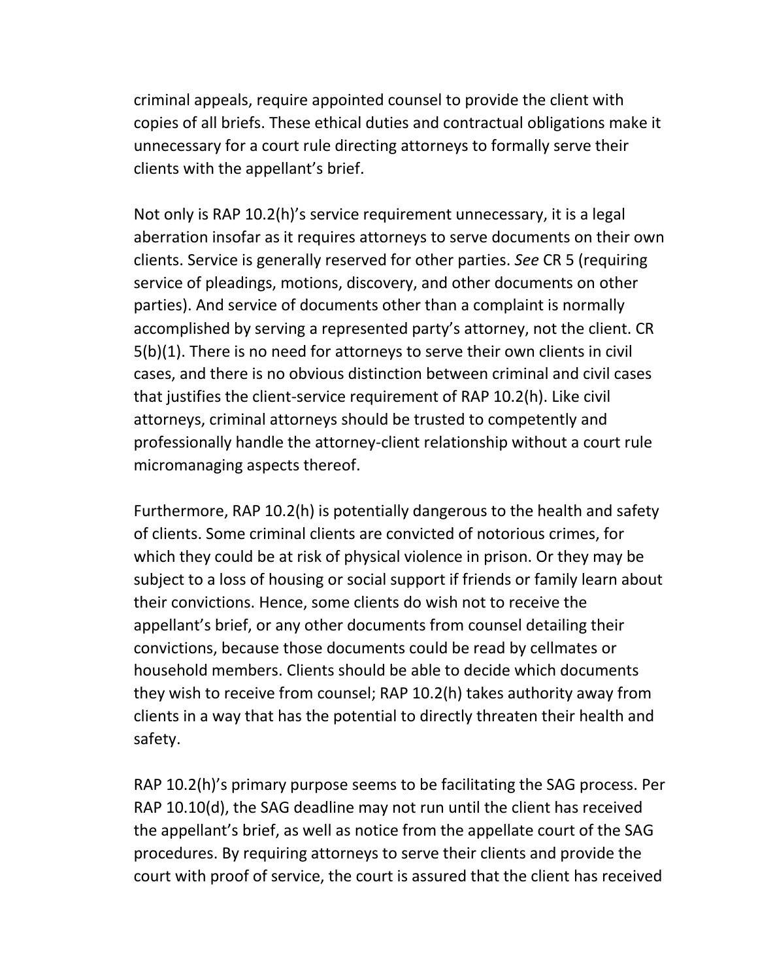criminal appeals, require appointed counsel to provide the client with copies of all briefs. These ethical duties and contractual obligations make it unnecessary for a court rule directing attorneys to formally serve their clients with the appellant's brief.

Not only is RAP 10.2(h)'s service requirement unnecessary, it is a legal aberration insofar as it requires attorneys to serve documents on their own clients. Service is generally reserved for other parties. *See* CR 5 (requiring service of pleadings, motions, discovery, and other documents on other parties). And service of documents other than a complaint is normally accomplished by serving a represented party's attorney, not the client. CR 5(b)(1). There is no need for attorneys to serve their own clients in civil cases, and there is no obvious distinction between criminal and civil cases that justifies the client-service requirement of RAP 10.2(h). Like civil attorneys, criminal attorneys should be trusted to competently and professionally handle the attorney-client relationship without a court rule micromanaging aspects thereof.

Furthermore, RAP 10.2(h) is potentially dangerous to the health and safety of clients. Some criminal clients are convicted of notorious crimes, for which they could be at risk of physical violence in prison. Or they may be subject to a loss of housing or social support if friends or family learn about their convictions. Hence, some clients do wish not to receive the appellant's brief, or any other documents from counsel detailing their convictions, because those documents could be read by cellmates or household members. Clients should be able to decide which documents they wish to receive from counsel; RAP 10.2(h) takes authority away from clients in a way that has the potential to directly threaten their health and safety.

RAP 10.2(h)'s primary purpose seems to be facilitating the SAG process. Per RAP 10.10(d), the SAG deadline may not run until the client has received the appellant's brief, as well as notice from the appellate court of the SAG procedures. By requiring attorneys to serve their clients and provide the court with proof of service, the court is assured that the client has received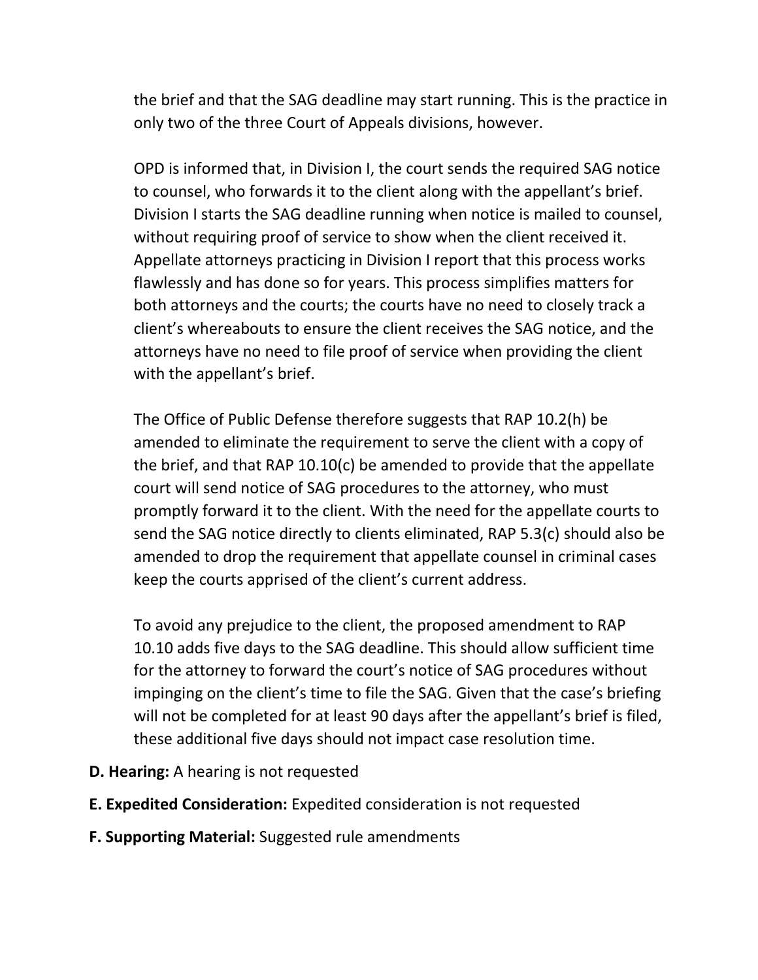the brief and that the SAG deadline may start running. This is the practice in only two of the three Court of Appeals divisions, however.

OPD is informed that, in Division I, the court sends the required SAG notice to counsel, who forwards it to the client along with the appellant's brief. Division I starts the SAG deadline running when notice is mailed to counsel, without requiring proof of service to show when the client received it. Appellate attorneys practicing in Division I report that this process works flawlessly and has done so for years. This process simplifies matters for both attorneys and the courts; the courts have no need to closely track a client's whereabouts to ensure the client receives the SAG notice, and the attorneys have no need to file proof of service when providing the client with the appellant's brief.

The Office of Public Defense therefore suggests that RAP 10.2(h) be amended to eliminate the requirement to serve the client with a copy of the brief, and that RAP 10.10(c) be amended to provide that the appellate court will send notice of SAG procedures to the attorney, who must promptly forward it to the client. With the need for the appellate courts to send the SAG notice directly to clients eliminated, RAP 5.3(c) should also be amended to drop the requirement that appellate counsel in criminal cases keep the courts apprised of the client's current address.

To avoid any prejudice to the client, the proposed amendment to RAP 10.10 adds five days to the SAG deadline. This should allow sufficient time for the attorney to forward the court's notice of SAG procedures without impinging on the client's time to file the SAG. Given that the case's briefing will not be completed for at least 90 days after the appellant's brief is filed, these additional five days should not impact case resolution time.

- **D. Hearing:** A hearing is not requested
- **E. Expedited Consideration:** Expedited consideration is not requested
- **F. Supporting Material:** Suggested rule amendments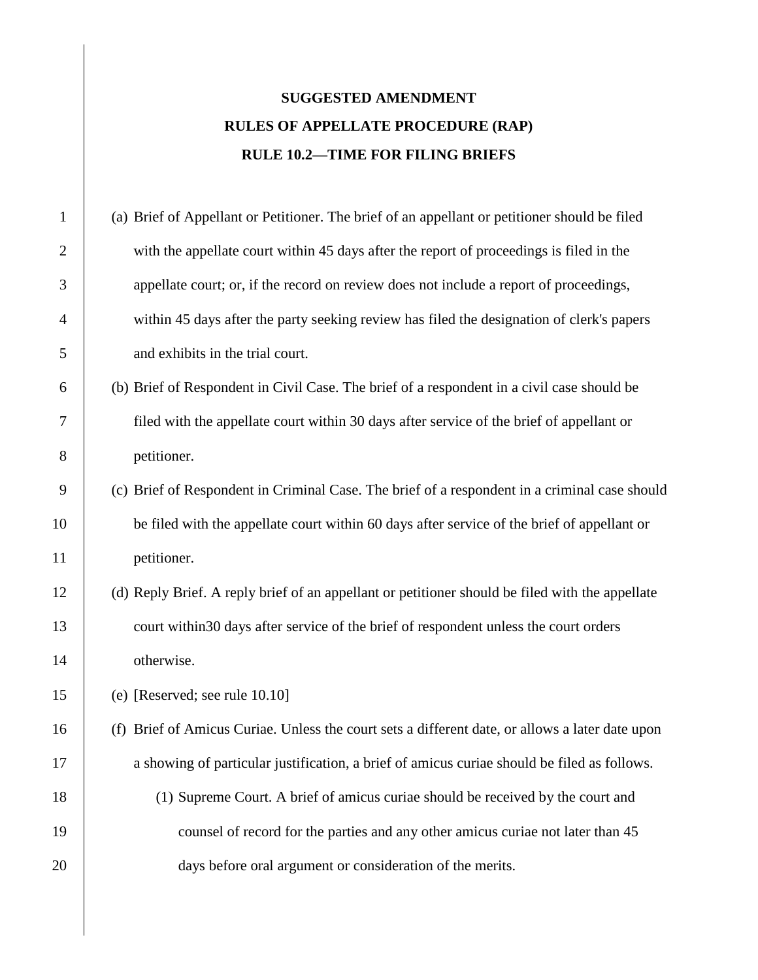### **SUGGESTED AMENDMENT RULES OF APPELLATE PROCEDURE (RAP) RULE 10.2—TIME FOR FILING BRIEFS**

 (a) Brief of Appellant or Petitioner. The brief of an appellant or petitioner should be filed 2 with the appellate court within 45 days after the report of proceedings is filed in the 3 appellate court; or, if the record on review does not include a report of proceedings, within 45 days after the party seeking review has filed the designation of clerk's papers 5 and exhibits in the trial court. (b) Brief of Respondent in Civil Case. The brief of a respondent in a civil case should be filed with the appellate court within 30 days after service of the brief of appellant or petitioner. (c) Brief of Respondent in Criminal Case. The brief of a respondent in a criminal case should 10 be filed with the appellate court within 60 days after service of the brief of appellant or petitioner. (d) Reply Brief. A reply brief of an appellant or petitioner should be filed with the appellate 13 court within 30 days after service of the brief of respondent unless the court orders otherwise. (e) [Reserved; see rule 10.10] (f) Brief of Amicus Curiae. Unless the court sets a different date, or allows a later date upon a showing of particular justification, a brief of amicus curiae should be filed as follows. (1) Supreme Court. A brief of amicus curiae should be received by the court and 19 counsel of record for the parties and any other amicus curiae not later than 45 days before oral argument or consideration of the merits.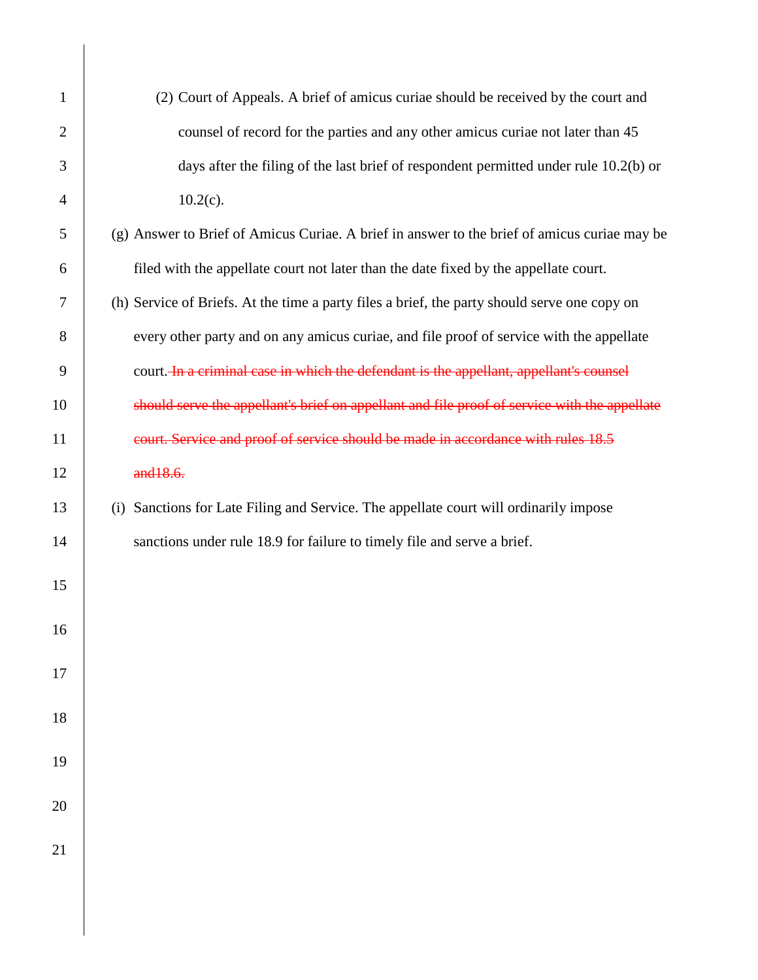| $\mathbf{1}$   | (2) Court of Appeals. A brief of amicus curiae should be received by the court and           |
|----------------|----------------------------------------------------------------------------------------------|
| $\overline{2}$ | counsel of record for the parties and any other amicus curiae not later than 45              |
| 3              | days after the filing of the last brief of respondent permitted under rule 10.2(b) or        |
| 4              | $10.2(c)$ .                                                                                  |
| 5              | (g) Answer to Brief of Amicus Curiae. A brief in answer to the brief of amicus curiae may be |
| 6              | filed with the appellate court not later than the date fixed by the appellate court.         |
| 7              | (h) Service of Briefs. At the time a party files a brief, the party should serve one copy on |
| 8              | every other party and on any amicus curiae, and file proof of service with the appellate     |
| 9              | court. In a criminal case in which the defendant is the appellant, appellant's counsel       |
| 10             | should serve the appellant's brief on appellant and file proof of service with the appellate |
| 11             | court. Service and proof of service should be made in accordance with rules 18.5             |
| 12             | and 18.6.                                                                                    |
| 13             | (i) Sanctions for Late Filing and Service. The appellate court will ordinarily impose        |
| 14             | sanctions under rule 18.9 for failure to timely file and serve a brief.                      |
| 15             |                                                                                              |
| 16             |                                                                                              |
|                |                                                                                              |
| 17             |                                                                                              |
| 18             |                                                                                              |
| 19             |                                                                                              |
|                |                                                                                              |
| 20             |                                                                                              |
| 21             |                                                                                              |
|                |                                                                                              |

 $\overline{\phantom{a}}$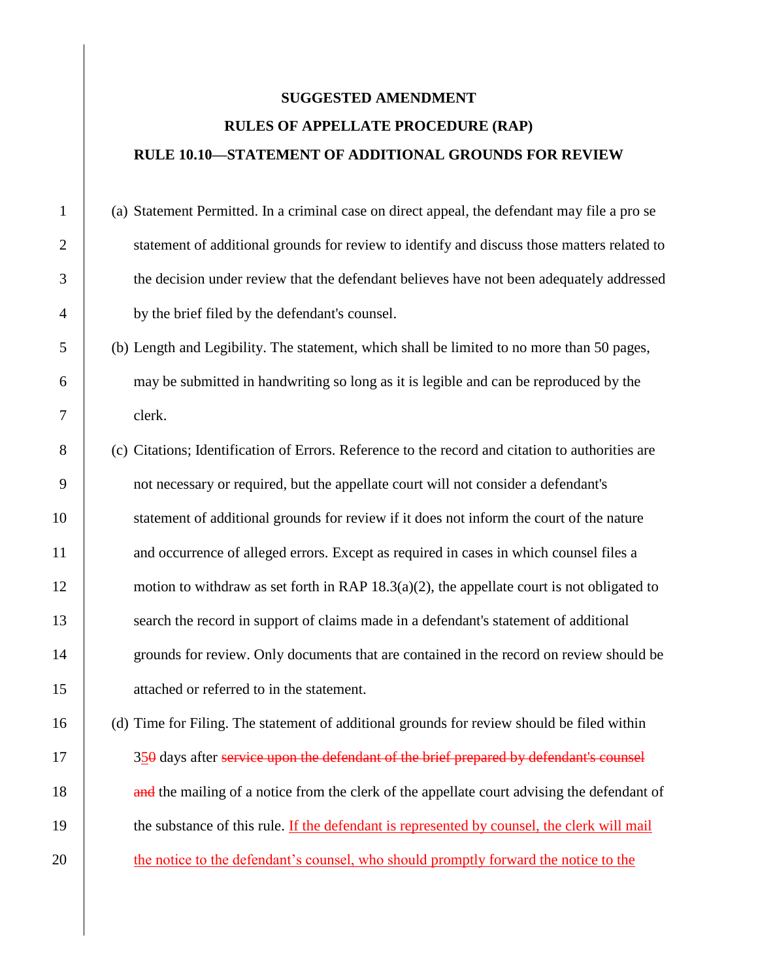### **SUGGESTED AMENDMENT RULES OF APPELLATE PROCEDURE (RAP) RULE 10.10—STATEMENT OF ADDITIONAL GROUNDS FOR REVIEW**

 (a) Statement Permitted. In a criminal case on direct appeal, the defendant may file a pro se 2 statement of additional grounds for review to identify and discuss those matters related to the decision under review that the defendant believes have not been adequately addressed by the brief filed by the defendant's counsel.

5 (b) Length and Legibility. The statement, which shall be limited to no more than 50 pages, 6 may be submitted in handwriting so long as it is legible and can be reproduced by the 7 clerk.

8 (c) Citations; Identification of Errors. Reference to the record and citation to authorities are 9 not necessary or required, but the appellate court will not consider a defendant's 10 statement of additional grounds for review if it does not inform the court of the nature 11 and occurrence of alleged errors. Except as required in cases in which counsel files a 12 motion to withdraw as set forth in RAP  $18.3(a)(2)$ , the appellate court is not obligated to 13 search the record in support of claims made in a defendant's statement of additional 14 grounds for review. Only documents that are contained in the record on review should be 15 attached or referred to in the statement.

16 (d) Time for Filing. The statement of additional grounds for review should be filed within 17 350 days after service upon the defendant of the brief prepared by defendant's counsel 18 **and the mailing of a notice from the clerk of the appellate court advising the defendant of** 19 the substance of this rule. If the defendant is represented by counsel, the clerk will mail 20 the notice to the defendant's counsel, who should promptly forward the notice to the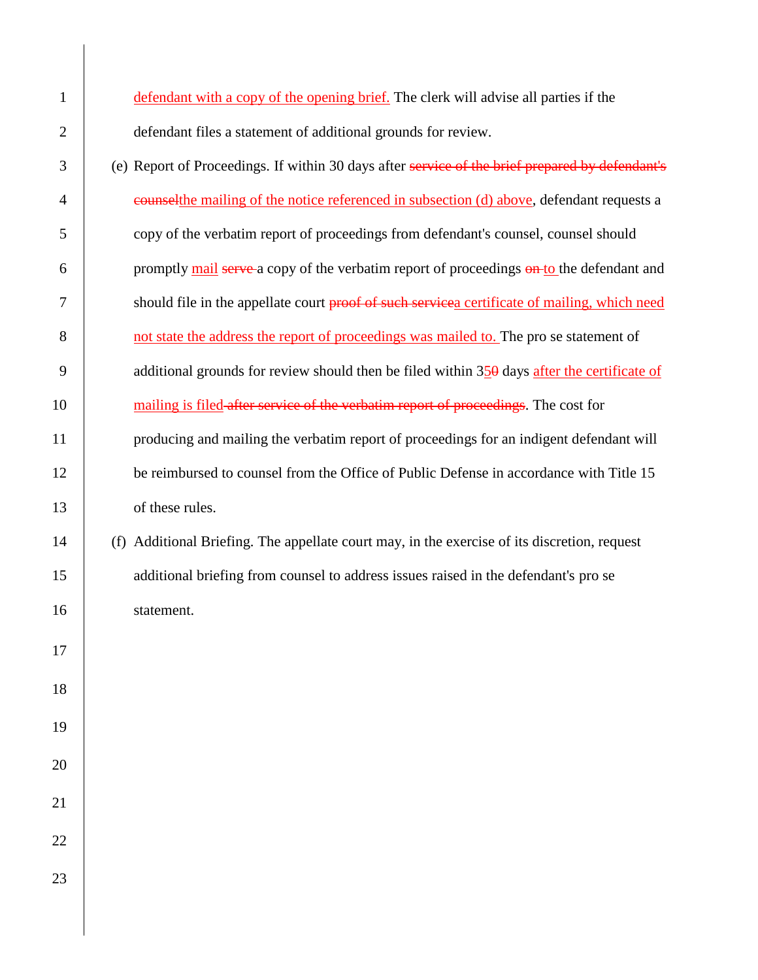| $\mathbf{1}$   | defendant with a copy of the opening brief. The clerk will advise all parties if the               |
|----------------|----------------------------------------------------------------------------------------------------|
| $\overline{2}$ | defendant files a statement of additional grounds for review.                                      |
| 3              | (e) Report of Proceedings. If within 30 days after service of the brief prepared by defendant's    |
| 4              | eounselthe mailing of the notice referenced in subsection (d) above, defendant requests a          |
| 5              | copy of the verbatim report of proceedings from defendant's counsel, counsel should                |
| 6              | promptly mail serve a copy of the verbatim report of proceedings on to the defendant and           |
| 7              | should file in the appellate court proof of such services certificate of mailing, which need       |
| 8              | not state the address the report of proceedings was mailed to. The pro se statement of             |
| 9              | additional grounds for review should then be filed within $35\theta$ days after the certificate of |
| 10             | mailing is filed after service of the verbatim report of proceedings. The cost for                 |
| 11             | producing and mailing the verbatim report of proceedings for an indigent defendant will            |
| 12             | be reimbursed to counsel from the Office of Public Defense in accordance with Title 15             |
| 13             | of these rules.                                                                                    |
| 14             | (f) Additional Briefing. The appellate court may, in the exercise of its discretion, request       |
| 15             | additional briefing from counsel to address issues raised in the defendant's pro se                |
| 16             | statement.                                                                                         |
| 17             |                                                                                                    |
| 18             |                                                                                                    |
| 19             |                                                                                                    |
| $20\,$         |                                                                                                    |
| 21             |                                                                                                    |
|                |                                                                                                    |
| 22             |                                                                                                    |
| 23             |                                                                                                    |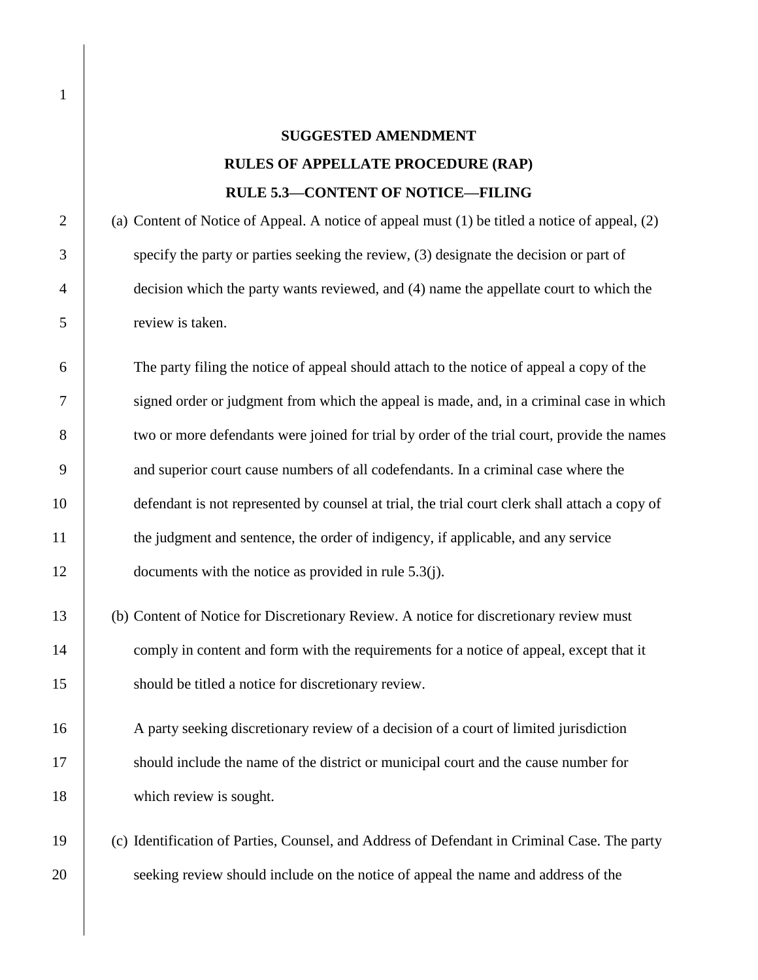### **SUGGESTED AMENDMENT RULES OF APPELLATE PROCEDURE (RAP) RULE 5.3—CONTENT OF NOTICE—FILING**

2 (a) Content of Notice of Appeal. A notice of appeal must (1) be titled a notice of appeal, (2) specify the party or parties seeking the review, (3) designate the decision or part of decision which the party wants reviewed, and (4) name the appellate court to which the review is taken.

6 The party filing the notice of appeal should attach to the notice of appeal a copy of the 7 signed order or judgment from which the appeal is made, and, in a criminal case in which 8 two or more defendants were joined for trial by order of the trial court, provide the names 9 and superior court cause numbers of all codefendants. In a criminal case where the 10 defendant is not represented by counsel at trial, the trial court clerk shall attach a copy of 11 the judgment and sentence, the order of indigency, if applicable, and any service 12 documents with the notice as provided in rule 5.3(j).

13 (b) Content of Notice for Discretionary Review. A notice for discretionary review must 14 comply in content and form with the requirements for a notice of appeal, except that it 15 should be titled a notice for discretionary review.

16 A party seeking discretionary review of a decision of a court of limited jurisdiction 17 should include the name of the district or municipal court and the cause number for 18 which review is sought.

19 (c) Identification of Parties, Counsel, and Address of Defendant in Criminal Case. The party 20 seeking review should include on the notice of appeal the name and address of the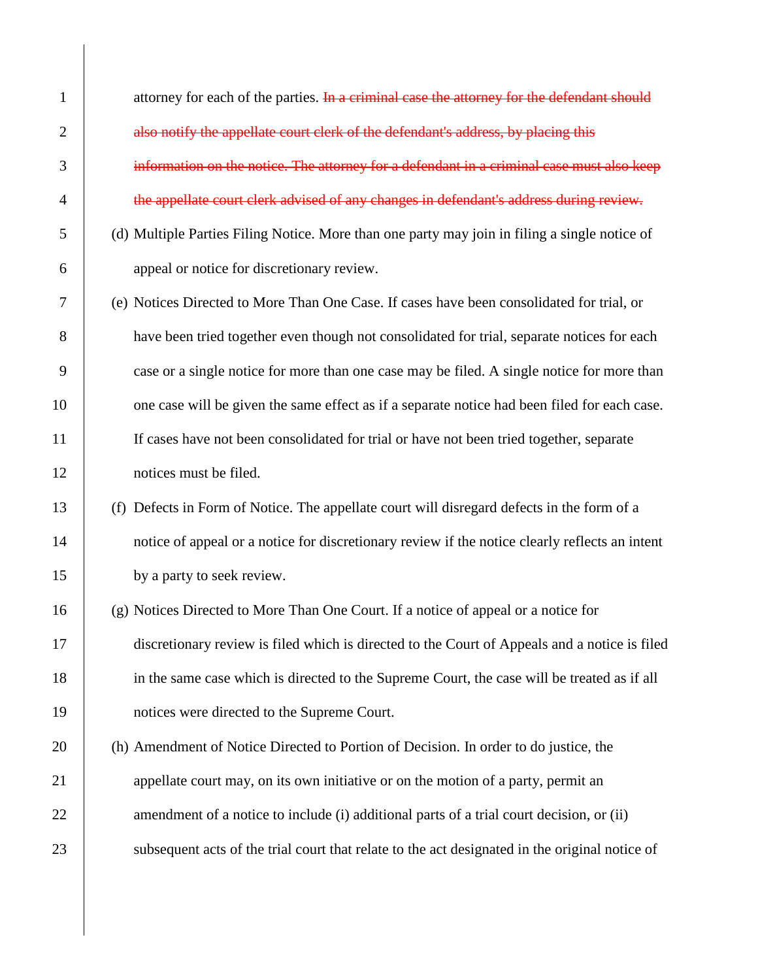1 attorney for each of the parties. In a criminal case the attorney for the defendant should 2 also notify the appellate court clerk of the defendant's address, by placing this 3 information on the notice. The attorney for a defendant in a criminal case must also keep 4 the appellate court clerk advised of any changes in defendant's address during review. 5 (d) Multiple Parties Filing Notice. More than one party may join in filing a single notice of 6 appeal or notice for discretionary review. 7 (e) Notices Directed to More Than One Case. If cases have been consolidated for trial, or 8 have been tried together even though not consolidated for trial, separate notices for each 9 case or a single notice for more than one case may be filed. A single notice for more than 10 one case will be given the same effect as if a separate notice had been filed for each case. 11 If cases have not been consolidated for trial or have not been tried together, separate 12 notices must be filed. 13 (f) Defects in Form of Notice. The appellate court will disregard defects in the form of a 14 notice of appeal or a notice for discretionary review if the notice clearly reflects an intent 15 by a party to seek review. 16 (g) Notices Directed to More Than One Court. If a notice of appeal or a notice for 17 discretionary review is filed which is directed to the Court of Appeals and a notice is filed 18 in the same case which is directed to the Supreme Court, the case will be treated as if all 19 notices were directed to the Supreme Court. 20 (h) Amendment of Notice Directed to Portion of Decision. In order to do justice, the 21 appellate court may, on its own initiative or on the motion of a party, permit an 22 amendment of a notice to include (i) additional parts of a trial court decision, or (ii) 23 Subsequent acts of the trial court that relate to the act designated in the original notice of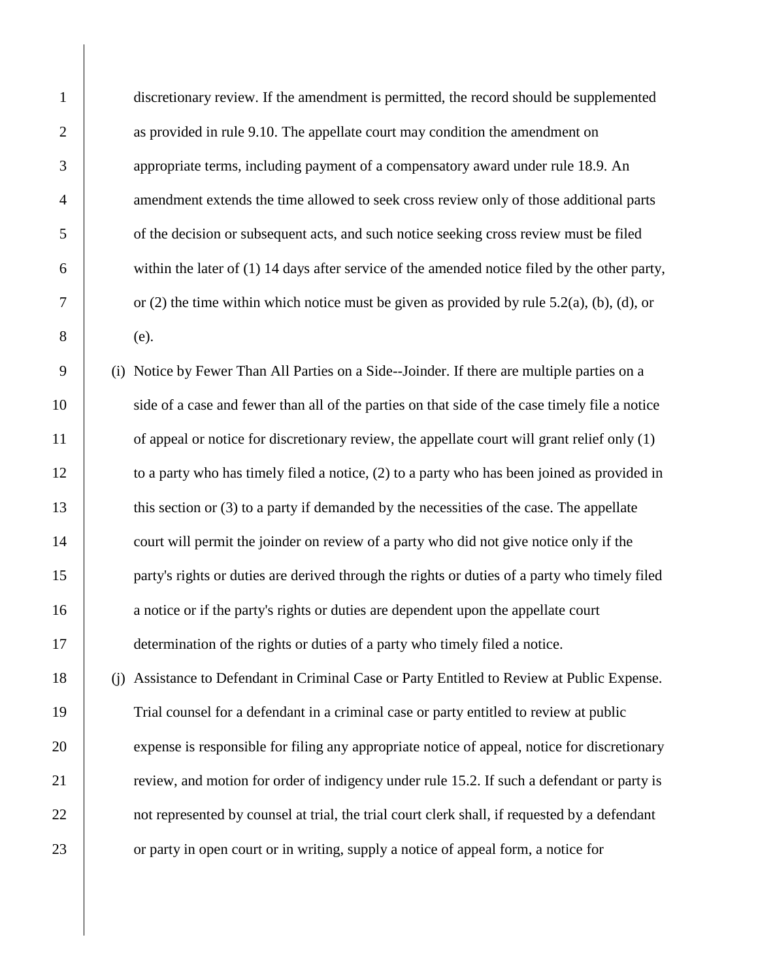discretionary review. If the amendment is permitted, the record should be supplemented as provided in rule 9.10. The appellate court may condition the amendment on appropriate terms, including payment of a compensatory award under rule 18.9. An 4 amendment extends the time allowed to seek cross review only of those additional parts of the decision or subsequent acts, and such notice seeking cross review must be filed within the later of (1) 14 days after service of the amended notice filed by the other party,  $7 \mid$  or (2) the time within which notice must be given as provided by rule 5.2(a), (b), (d), or 8 (e).

9 (i) Notice by Fewer Than All Parties on a Side--Joinder. If there are multiple parties on a 10 side of a case and fewer than all of the parties on that side of the case timely file a notice 11 of appeal or notice for discretionary review, the appellate court will grant relief only (1) 12 to a party who has timely filed a notice, (2) to a party who has been joined as provided in 13 this section or (3) to a party if demanded by the necessities of the case. The appellate 14 court will permit the joinder on review of a party who did not give notice only if the 15 party's rights or duties are derived through the rights or duties of a party who timely filed 16 a notice or if the party's rights or duties are dependent upon the appellate court 17 determination of the rights or duties of a party who timely filed a notice.

 (j) Assistance to Defendant in Criminal Case or Party Entitled to Review at Public Expense. Trial counsel for a defendant in a criminal case or party entitled to review at public expense is responsible for filing any appropriate notice of appeal, notice for discretionary 21 review, and motion for order of indigency under rule 15.2. If such a defendant or party is 22 not represented by counsel at trial, the trial court clerk shall, if requested by a defendant or party in open court or in writing, supply a notice of appeal form, a notice for